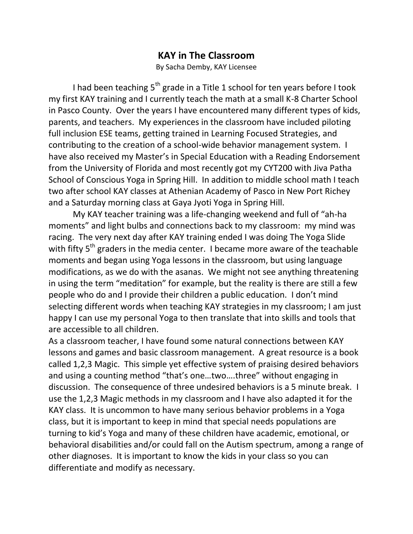## **KAY in The Classroom**

By Sacha Demby, KAY Licensee

I had been teaching  $5<sup>th</sup>$  grade in a Title 1 school for ten years before I took my first KAY training and I currently teach the math at a small K-8 Charter School in Pasco County. Over the years I have encountered many different types of kids, parents, and teachers. My experiences in the classroom have included piloting full inclusion ESE teams, getting trained in Learning Focused Strategies, and contributing to the creation of a school-wide behavior management system. I have also received my Master's in Special Education with a Reading Endorsement from the University of Florida and most recently got my CYT200 with Jiva Patha School of Conscious Yoga in Spring Hill. In addition to middle school math I teach two after school KAY classes at Athenian Academy of Pasco in New Port Richey and a Saturday morning class at Gaya Jyoti Yoga in Spring Hill.

My KAY teacher training was a life-changing weekend and full of "ah-ha moments" and light bulbs and connections back to my classroom: my mind was racing. The very next day after KAY training ended I was doing The Yoga Slide with fifty  $5<sup>th</sup>$  graders in the media center. I became more aware of the teachable moments and began using Yoga lessons in the classroom, but using language modifications, as we do with the asanas. We might not see anything threatening in using the term "meditation" for example, but the reality is there are still a few people who do and I provide their children a public education. I don't mind selecting different words when teaching KAY strategies in my classroom; I am just happy I can use my personal Yoga to then translate that into skills and tools that are accessible to all children.

As a classroom teacher, I have found some natural connections between KAY lessons and games and basic classroom management. A great resource is a book called 1,2,3 Magic. This simple yet effective system of praising desired behaviors and using a counting method "that's one…two….three" without engaging in discussion. The consequence of three undesired behaviors is a 5 minute break. I use the 1,2,3 Magic methods in my classroom and I have also adapted it for the KAY class. It is uncommon to have many serious behavior problems in a Yoga class, but it is important to keep in mind that special needs populations are turning to kid's Yoga and many of these children have academic, emotional, or behavioral disabilities and/or could fall on the Autism spectrum, among a range of other diagnoses. It is important to know the kids in your class so you can differentiate and modify as necessary.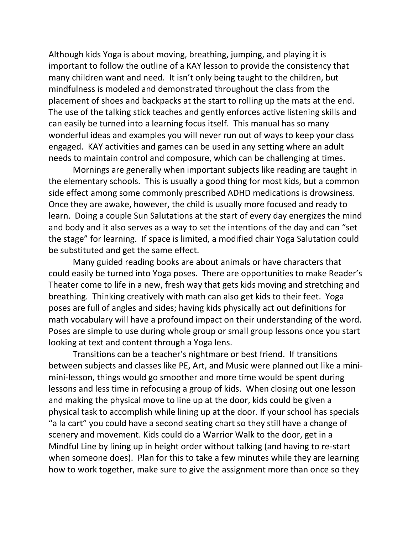Although kids Yoga is about moving, breathing, jumping, and playing it is important to follow the outline of a KAY lesson to provide the consistency that many children want and need. It isn't only being taught to the children, but mindfulness is modeled and demonstrated throughout the class from the placement of shoes and backpacks at the start to rolling up the mats at the end. The use of the talking stick teaches and gently enforces active listening skills and can easily be turned into a learning focus itself. This manual has so many wonderful ideas and examples you will never run out of ways to keep your class engaged. KAY activities and games can be used in any setting where an adult needs to maintain control and composure, which can be challenging at times.

Mornings are generally when important subjects like reading are taught in the elementary schools. This is usually a good thing for most kids, but a common side effect among some commonly prescribed ADHD medications is drowsiness. Once they are awake, however, the child is usually more focused and ready to learn. Doing a couple Sun Salutations at the start of every day energizes the mind and body and it also serves as a way to set the intentions of the day and can "set the stage" for learning. If space is limited, a modified chair Yoga Salutation could be substituted and get the same effect.

Many guided reading books are about animals or have characters that could easily be turned into Yoga poses. There are opportunities to make Reader's Theater come to life in a new, fresh way that gets kids moving and stretching and breathing. Thinking creatively with math can also get kids to their feet. Yoga poses are full of angles and sides; having kids physically act out definitions for math vocabulary will have a profound impact on their understanding of the word. Poses are simple to use during whole group or small group lessons once you start looking at text and content through a Yoga lens.

Transitions can be a teacher's nightmare or best friend. If transitions between subjects and classes like PE, Art, and Music were planned out like a minimini-lesson, things would go smoother and more time would be spent during lessons and less time in refocusing a group of kids. When closing out one lesson and making the physical move to line up at the door, kids could be given a physical task to accomplish while lining up at the door. If your school has specials "a la cart" you could have a second seating chart so they still have a change of scenery and movement. Kids could do a Warrior Walk to the door, get in a Mindful Line by lining up in height order without talking (and having to re-start when someone does). Plan for this to take a few minutes while they are learning how to work together, make sure to give the assignment more than once so they